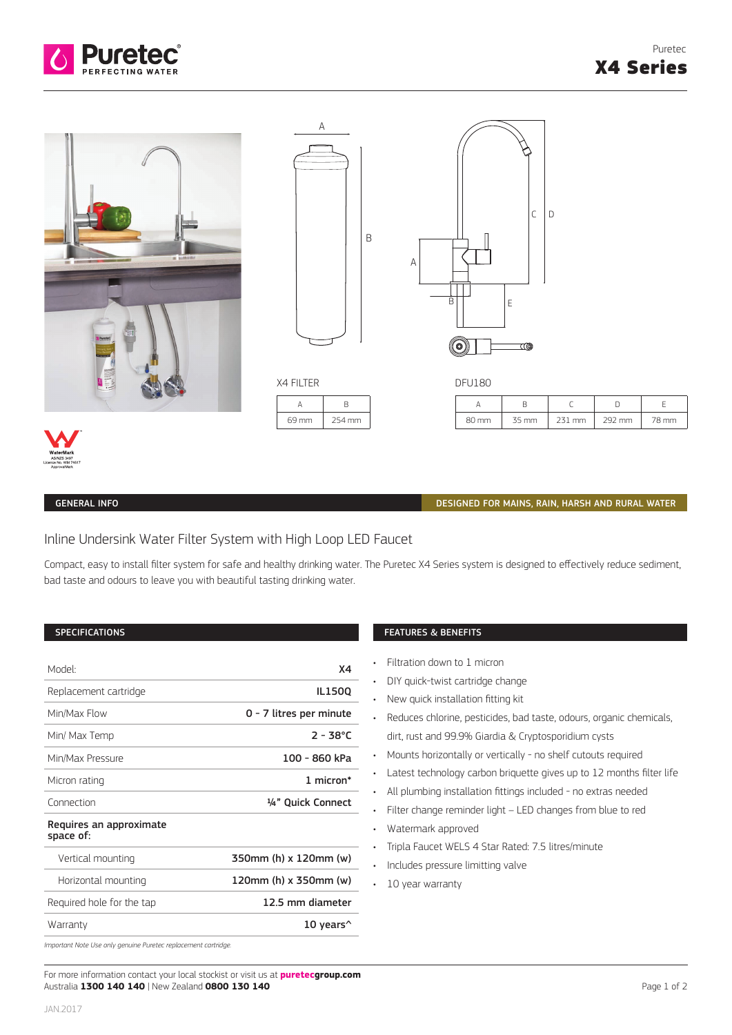





A B 69 mm 254 mm



| DI UIDU |       |        |        |       |
|---------|-------|--------|--------|-------|
|         |       |        |        |       |
| 80 mm   | 35 mm | 231 mm | 292 mm | 78 mm |



## GENERAL INFO

### DESIGNED FOR MAINS, RAIN, HARSH AND RURAL WATER

# Inline Undersink Water Filter System with High Loop LED Faucet

Compact, easy to install filter system for safe and healthy drinking water. The Puretec X4 Series system is designed to effectively reduce sediment, bad taste and odours to leave you with beautiful tasting drinking water.

#### **SPECIFICATIONS**

| Model <sup>-</sup>                   | Χ4                      |  |  |  |
|--------------------------------------|-------------------------|--|--|--|
| Replacement cartridge                | <b>IL1500</b>           |  |  |  |
| Min/Max Flow                         | 0 - 7 litres per minute |  |  |  |
| Min/ Max Temp                        | $2 - 38^{\circ}$ C      |  |  |  |
| Min/Max Pressure                     | 100 - 860 kPa           |  |  |  |
| Micron rating                        | 1 micron*               |  |  |  |
| Connection                           | 1/4" Quick Connect      |  |  |  |
| Requires an approximate<br>space of: |                         |  |  |  |
| Vertical mounting                    | 350mm (h) x 120mm (w)   |  |  |  |
| Horizontal mounting                  | 120mm (h) x 350mm (w)   |  |  |  |
| Required hole for the tap            | 12.5 mm diameter        |  |  |  |
| Warranty                             | 10 years $^{\wedge}$    |  |  |  |
|                                      |                         |  |  |  |

## FEATURES & BENEFITS

- Filtration down to 1 micron
- DIY quick-twist cartridge change
- New quick installation fitting kit
- Reduces chlorine, pesticides, bad taste, odours, organic chemicals, dirt, rust and 99.9% Giardia & Cryptosporidium cysts
- Mounts horizontally or vertically no shelf cutouts required
- Latest technology carbon briquette gives up to 12 months filter life
- All plumbing installation fittings included no extras needed
- Filter change reminder light LED changes from blue to red
- Watermark approved
- Tripla Faucet WELS 4 Star Rated: 7.5 litres/minute
- Includes pressure limitting valve
- 10 year warranty

*Important Note Use only genuine Puretec replacement cartridge.*

For more information contact your local stockist or visit us at **puretecgroup.com** Australia **1300 140 140** | New Zealand **0800 130 140**